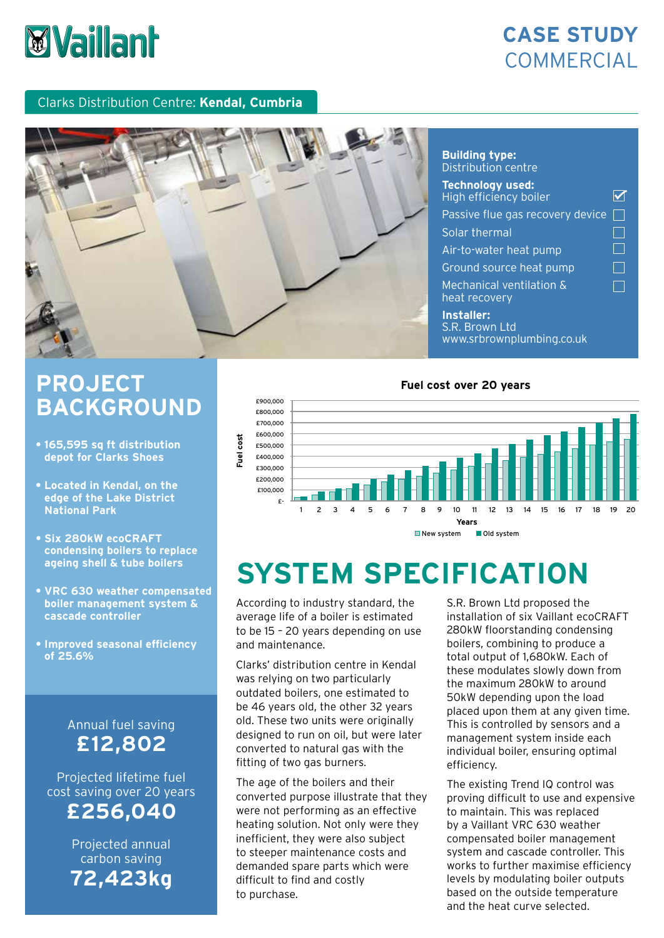# *Vaillant*

## **CASE STUDY COMMERCIAL**

### Clarks Distribution Centre: **Kendal, Cumbria**



## **Building type:** Distribution centre

| <b>Technology used:</b><br>High efficiency boiler         |  |
|-----------------------------------------------------------|--|
| Passive flue gas recovery device                          |  |
| Solar thermal                                             |  |
| Air-to-water heat pump                                    |  |
| Ground source heat pump                                   |  |
| <b>Mechanical ventilation &amp;</b><br>heat recovery      |  |
| Installer:<br>S.R. Brown Ltd<br>www.srbrownplumbing.co.uk |  |

## **PROJECT BACKGROUND**

- **165,595 sq ft distribution depot for Clarks Shoes**
- **Located in Kendal, on the edge of the Lake District National Park**
- **Six 280kW ecoCRAFT condensing boilers to replace ageing shell & tube boilers**
- **VRC 630 weather compensated boiler management system & cascade controller**
- **• Improved seasonal efficiency of 25.6%**

## Annual fuel saving **£12,802**

Projected lifetime fuel cost saving over 20 years **£256,040**

> Projected annual carbon saving **72,423kg**

### **Fuel cost over 20 years**



#### New system Old system

# **SYSTEM SPECIFICATION**

According to industry standard, the average life of a boiler is estimated to be 15 – 20 years depending on use and maintenance.

Clarks' distribution centre in Kendal was relying on two particularly outdated boilers, one estimated to be 46 years old, the other 32 years old. These two units were originally designed to run on oil, but were later converted to natural gas with the fitting of two gas burners.

The age of the boilers and their converted purpose illustrate that they were not performing as an effective heating solution. Not only were they inefficient, they were also subject to steeper maintenance costs and demanded spare parts which were difficult to find and costly to purchase.

S.R. Brown Ltd proposed the installation of six Vaillant ecoCRAFT 280kW floorstanding condensing boilers, combining to produce a total output of 1,680kW. Each of these modulates slowly down from the maximum 280kW to around 50kW depending upon the load placed upon them at any given time. This is controlled by sensors and a management system inside each individual boiler, ensuring optimal efficiency.

The existing Trend IQ control was proving difficult to use and expensive to maintain. This was replaced by a Vaillant VRC 630 weather compensated boiler management system and cascade controller. This works to further maximise efficiency levels by modulating boiler outputs based on the outside temperature and the heat curve selected.